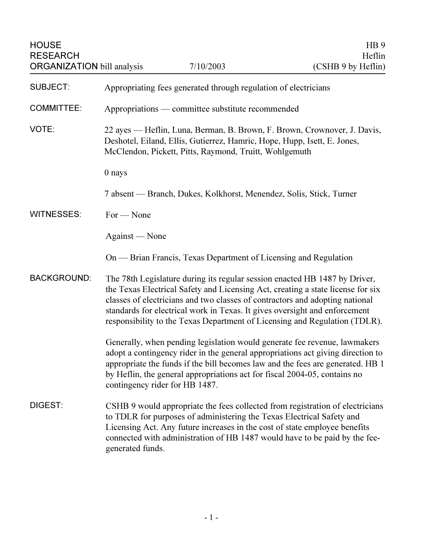| <b>HOUSE</b><br><b>RESEARCH</b><br><b>ORGANIZATION bill analysis</b> |                                                                                                                                                                                                                | 7/10/2003                                                                                                                                           | HB <sub>9</sub><br>Heflin<br>(CSHB 9 by Heflin)                                                                                                                                                                                                                                                                             |
|----------------------------------------------------------------------|----------------------------------------------------------------------------------------------------------------------------------------------------------------------------------------------------------------|-----------------------------------------------------------------------------------------------------------------------------------------------------|-----------------------------------------------------------------------------------------------------------------------------------------------------------------------------------------------------------------------------------------------------------------------------------------------------------------------------|
| <b>SUBJECT:</b>                                                      | Appropriating fees generated through regulation of electricians                                                                                                                                                |                                                                                                                                                     |                                                                                                                                                                                                                                                                                                                             |
| <b>COMMITTEE:</b>                                                    | Appropriations — committee substitute recommended                                                                                                                                                              |                                                                                                                                                     |                                                                                                                                                                                                                                                                                                                             |
| VOTE:                                                                | 22 ayes — Heflin, Luna, Berman, B. Brown, F. Brown, Crownover, J. Davis,<br>Deshotel, Eiland, Ellis, Gutierrez, Hamric, Hope, Hupp, Isett, E. Jones,<br>McClendon, Pickett, Pitts, Raymond, Truitt, Wohlgemuth |                                                                                                                                                     |                                                                                                                                                                                                                                                                                                                             |
|                                                                      | 0 nays                                                                                                                                                                                                         |                                                                                                                                                     |                                                                                                                                                                                                                                                                                                                             |
|                                                                      | 7 absent — Branch, Dukes, Kolkhorst, Menendez, Solis, Stick, Turner                                                                                                                                            |                                                                                                                                                     |                                                                                                                                                                                                                                                                                                                             |
| <b>WITNESSES:</b>                                                    | $For - None$                                                                                                                                                                                                   |                                                                                                                                                     |                                                                                                                                                                                                                                                                                                                             |
|                                                                      | Against — None                                                                                                                                                                                                 |                                                                                                                                                     |                                                                                                                                                                                                                                                                                                                             |
|                                                                      |                                                                                                                                                                                                                | On — Brian Francis, Texas Department of Licensing and Regulation                                                                                    |                                                                                                                                                                                                                                                                                                                             |
| <b>BACKGROUND:</b>                                                   |                                                                                                                                                                                                                | standards for electrical work in Texas. It gives oversight and enforcement                                                                          | The 78th Legislature during its regular session enacted HB 1487 by Driver,<br>the Texas Electrical Safety and Licensing Act, creating a state license for six<br>classes of electricians and two classes of contractors and adopting national<br>responsibility to the Texas Department of Licensing and Regulation (TDLR). |
|                                                                      | contingency rider for HB 1487.                                                                                                                                                                                 | by Heflin, the general appropriations act for fiscal 2004-05, contains no                                                                           | Generally, when pending legislation would generate fee revenue, lawmakers<br>adopt a contingency rider in the general appropriations act giving direction to<br>appropriate the funds if the bill becomes law and the fees are generated. HB 1                                                                              |
| DIGEST:                                                              | generated funds.                                                                                                                                                                                               | to TDLR for purposes of administering the Texas Electrical Safety and<br>Licensing Act. Any future increases in the cost of state employee benefits | CSHB 9 would appropriate the fees collected from registration of electricians<br>connected with administration of HB 1487 would have to be paid by the fee-                                                                                                                                                                 |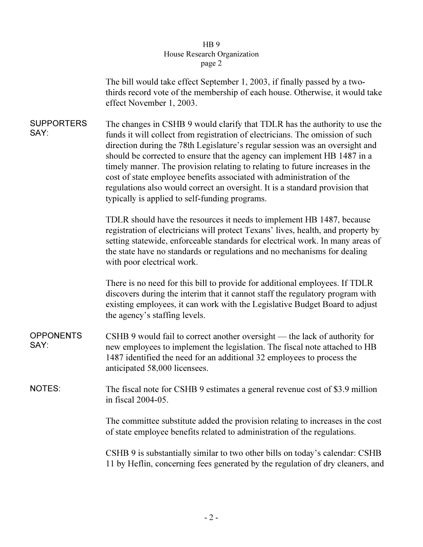## arch (  $\frac{1}{2}$ page 2

|                           | The bill would take effect September 1, 2003, if finally passed by a two-<br>thirds record vote of the membership of each house. Otherwise, it would take<br>effect November 1, 2003.                                                                                                                                                                                                                                                                                                                                                                                                                              |  |  |  |
|---------------------------|--------------------------------------------------------------------------------------------------------------------------------------------------------------------------------------------------------------------------------------------------------------------------------------------------------------------------------------------------------------------------------------------------------------------------------------------------------------------------------------------------------------------------------------------------------------------------------------------------------------------|--|--|--|
| <b>SUPPORTERS</b><br>SAY: | The changes in CSHB 9 would clarify that TDLR has the authority to use the<br>funds it will collect from registration of electricians. The omission of such<br>direction during the 78th Legislature's regular session was an oversight and<br>should be corrected to ensure that the agency can implement HB 1487 in a<br>timely manner. The provision relating to relating to future increases in the<br>cost of state employee benefits associated with administration of the<br>regulations also would correct an oversight. It is a standard provision that<br>typically is applied to self-funding programs. |  |  |  |
|                           | TDLR should have the resources it needs to implement HB 1487, because<br>registration of electricians will protect Texans' lives, health, and property by<br>setting statewide, enforceable standards for electrical work. In many areas of<br>the state have no standards or regulations and no mechanisms for dealing<br>with poor electrical work.                                                                                                                                                                                                                                                              |  |  |  |
|                           | There is no need for this bill to provide for additional employees. If TDLR<br>discovers during the interim that it cannot staff the regulatory program with<br>existing employees, it can work with the Legislative Budget Board to adjust<br>the agency's staffing levels.                                                                                                                                                                                                                                                                                                                                       |  |  |  |
| <b>OPPONENTS</b><br>SAY:  | CSHB 9 would fail to correct another oversight — the lack of authority for<br>new employees to implement the legislation. The fiscal note attached to HB<br>1487 identified the need for an additional 32 employees to process the<br>anticipated 58,000 licensees.                                                                                                                                                                                                                                                                                                                                                |  |  |  |
| <b>NOTES:</b>             | The fiscal note for CSHB 9 estimates a general revenue cost of \$3.9 million<br>in fiscal 2004-05.                                                                                                                                                                                                                                                                                                                                                                                                                                                                                                                 |  |  |  |
|                           | The committee substitute added the provision relating to increases in the cost<br>of state employee benefits related to administration of the regulations.                                                                                                                                                                                                                                                                                                                                                                                                                                                         |  |  |  |
|                           | CSHB 9 is substantially similar to two other bills on today's calendar: CSHB<br>11 by Heflin, concerning fees generated by the regulation of dry cleaners, and                                                                                                                                                                                                                                                                                                                                                                                                                                                     |  |  |  |